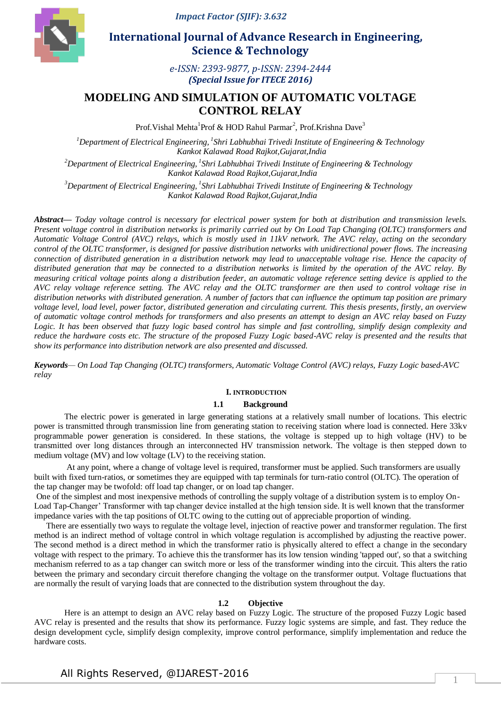*Impact Factor (SJIF): 3.632*



 **International Journal of Advance Research in Engineering, Science & Technology** 

> *e-ISSN: 2393-9877, p-ISSN: 2394-2444 (Special Issue for ITECE 2016)*

# **MODELING AND SIMULATION OF AUTOMATIC VOLTAGE CONTROL RELAY**

Prof. Vishal Mehta<sup>1</sup> Prof & HOD Rahul Parmar<sup>2</sup>, Prof. Krishna Dave<sup>3</sup>

*<sup>1</sup>Department of Electrical Engineering, <sup>1</sup> Shri Labhubhai Trivedi Institute of Engineering & Technology Kankot Kalawad Road Rajkot,Gujarat,India <sup>2</sup>Department of Electrical Engineering, <sup>1</sup> Shri Labhubhai Trivedi Institute of Engineering & Technology*

*Kankot Kalawad Road Rajkot,Gujarat,India* 

*<sup>3</sup>Department of Electrical Engineering, <sup>1</sup> Shri Labhubhai Trivedi Institute of Engineering & Technology Kankot Kalawad Road Rajkot,Gujarat,India* 

*Abstract— Today voltage control is necessary for electrical power system for both at distribution and transmission levels. Present voltage control in distribution networks is primarily carried out by On Load Tap Changing (OLTC) transformers and Automatic Voltage Control (AVC) relays, which is mostly used in 11kV network. The AVC relay, acting on the secondary control of the OLTC transformer, is designed for passive distribution networks with unidirectional power flows. The increasing connection of distributed generation in a distribution network may lead to unacceptable voltage rise. Hence the capacity of distributed generation that may be connected to a distribution networks is limited by the operation of the AVC relay. By measuring critical voltage points along a distribution feeder, an automatic voltage reference setting device is applied to the AVC relay voltage reference setting. The AVC relay and the OLTC transformer are then used to control voltage rise in distribution networks with distributed generation. A number of factors that can influence the optimum tap position are primary voltage level, load level, power factor, distributed generation and circulating current. This thesis presents, firstly, an overview of automatic voltage control methods for transformers and also presents an attempt to design an AVC relay based on Fuzzy Logic. It has been observed that fuzzy logic based control has simple and fast controlling, simplify design complexity and reduce the hardware costs etc. The structure of the proposed Fuzzy Logic based-AVC relay is presented and the results that show its performance into distribution network are also presented and discussed.*

*Keywords— On Load Tap Changing (OLTC) transformers, Automatic Voltage Control (AVC) relays, Fuzzy Logic based-AVC relay*

### **I. INTRODUCTION**

### **1.1 Background**

The electric power is generated in large generating stations at a relatively small number of locations. This electric power is transmitted through transmission line from generating station to receiving station where load is connected. Here 33kv programmable power generation is considered. In these stations, the voltage is stepped up to high voltage (HV) to be transmitted over long distances through an interconnected HV transmission network. The voltage is then stepped down to medium voltage (MV) and low voltage (LV) to the receiving station.

At any point, where a change of voltage level is required, transformer must be applied. Such transformers are usually built with fixed turn-ratios, or sometimes they are equipped with tap terminals for turn-ratio control (OLTC). The operation of the tap changer may be twofold: off load tap changer, or on load tap changer.

One of the simplest and most inexpensive methods of controlling the supply voltage of a distribution system is to employ On-Load Tap-Changer' Transformer with tap changer device installed at the high tension side. It is well known that the transformer impedance varies with the tap positions of OLTC owing to the cutting out of appreciable proportion of winding.

There are essentially two ways to regulate the voltage level, injection of reactive power and transformer regulation. The first method is an indirect method of voltage control in which voltage regulation is accomplished by adjusting the reactive power. The second method is a direct method in which the transformer ratio is physically altered to effect a change in the secondary voltage with respect to the primary. To achieve this the transformer has its low tension winding 'tapped out', so that a switching mechanism referred to as a tap changer can switch more or less of the transformer winding into the circuit. This alters the ratio between the primary and secondary circuit therefore changing the voltage on the transformer output. Voltage fluctuations that are normally the result of varying loads that are connected to the distribution system throughout the day.

#### **1.2 Objective**

Here is an attempt to design an AVC relay based on Fuzzy Logic. The structure of the proposed Fuzzy Logic based AVC relay is presented and the results that show its performance. Fuzzy logic systems are simple, and fast. They reduce the design development cycle, simplify design complexity, improve control performance, simplify implementation and reduce the hardware costs.

## All Rights Reserved, @IJAREST-2016

1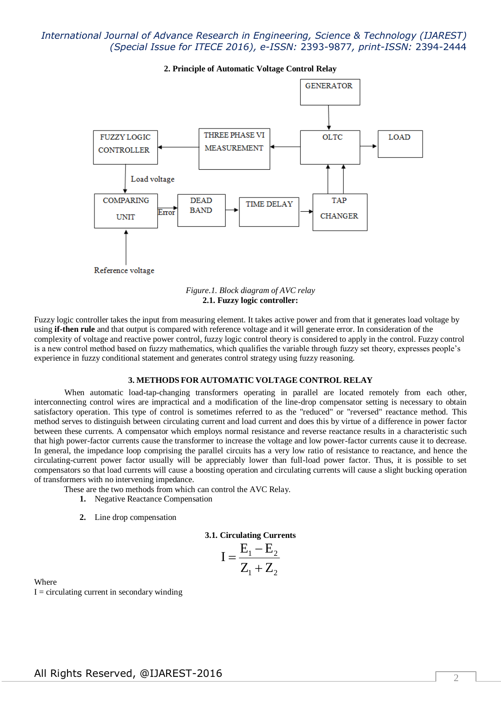

**2. Principle of Automatic Voltage Control Relay**



Fuzzy logic controller takes the input from measuring element. It takes active power and from that it generates load voltage by using **if-then rule** and that output is compared with reference voltage and it will generate error. In consideration of the complexity of voltage and reactive power control, fuzzy logic control theory is considered to apply in the control. Fuzzy control is a new control method based on fuzzy mathematics, which qualifies the variable through fuzzy set theory, expresses people's experience in fuzzy conditional statement and generates control strategy using fuzzy reasoning.

#### **3. METHODS FOR AUTOMATIC VOLTAGE CONTROL RELAY**

When automatic load-tap-changing transformers operating in parallel are located remotely from each other, interconnecting control wires are impractical and a modification of the line-drop compensator setting is necessary to obtain satisfactory operation. This type of control is sometimes referred to as the "reduced" or "reversed" reactance method. This method serves to distinguish between circulating current and load current and does this by virtue of a difference in power factor between these currents. A compensator which employs normal resistance and reverse reactance results in a characteristic such that high power-factor currents cause the transformer to increase the voltage and low power-factor currents cause it to decrease. In general, the impedance loop comprising the parallel circuits has a very low ratio of resistance to reactance, and hence the circulating-current power factor usually will be appreciably lower than full-load power factor. Thus, it is possible to set compensators so that load currents will cause a boosting operation and circulating currents will cause a slight bucking operation of transformers with no intervening impedance.

These are the two methods from which can control the AVC Relay.

- **1.** Negative Reactance Compensation
- **2.** Line drop compensation

**3.1. Circulating Currents**

$$
I = \frac{E_1 - E_2}{Z_1 + Z_2}
$$

Where  $I =$  circulating current in secondary winding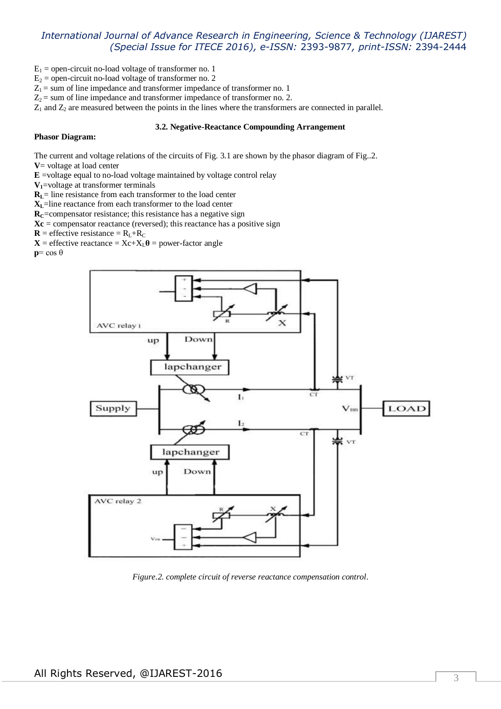- $E_1$  = open-circuit no-load voltage of transformer no. 1
- $E_2$  = open-circuit no-load voltage of transformer no. 2

 $Z_1$  = sum of line impedance and transformer impedance of transformer no. 1

 $Z_2$  = sum of line impedance and transformer impedance of transformer no. 2.

 $Z_1$  and  $Z_2$  are measured between the points in the lines where the transformers are connected in parallel.

#### **3.2. Negative-Reactance Compounding Arrangement**

### **Phasor Diagram:**

The current and voltage relations of the circuits of Fig. 3.1 are shown by the phasor diagram of Fig..2.

- **V**= voltage at load center
- **E** =voltage equal to no-load voltage maintained by voltage control relay
- **V1**=voltage at transformer terminals

**RL**= line resistance from each transformer to the load center

**XL**=line reactance from each transformer to the load center

**RC**=compensator resistance; this resistance has a negative sign

 $Xc$  = compensator reactance (reversed); this reactance has a positive sign

 $\mathbf{R}$  = effective resistance =  $R_L+R_C$ 

 $X$  = effective reactance =  $Xc+X_L\theta$  = power-factor angle

**p**= cos θ



*Figure.2. complete circuit of reverse reactance compensation control*.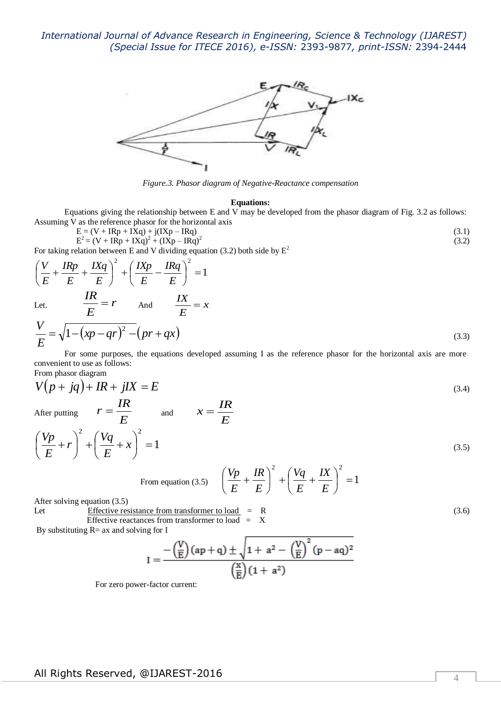

*Figure.3. Phasor diagram of Negative-Reactance compensation*

#### **Equations:**

Equations giving the relationship between E and V may be developed from the phasor diagram of Fig. 3.2 as follows: Assuming V as the reference phasor for the horizontal axis

$$
E = (V + IRp + IXq) + j(IXp - IRq)
$$
\n(3.1)\n
$$
E^2 = (V + IRp + IXq)^2 + (IXp - IRq)^2
$$
\n(3.2)

For taking relation between E and V dividing equation (3.2) both side by  $E^2$ 

$$
\left(\frac{V}{E} + \frac{IRp}{E} + \frac{IXq}{E}\right)^2 + \left(\frac{IXp}{E} - \frac{IRq}{E}\right)^2 = 1
$$
  
Let. 
$$
\frac{IR}{E} = r \qquad \text{And} \qquad \frac{IX}{E} = x
$$

$$
\frac{V}{E} = \sqrt{1 - (yn - ar)^2 - (pr + ar)}
$$

$$
\frac{V}{E} = \sqrt{1 - \left(xp - qr\right)^2 - \left(pr + qx\right)}
$$
\n(3.3)

For some purposes, the equations developed assuming I as the reference phasor for the horizontal axis are more convenient to use as follows: From phasor diagram

$$
V(p + jq) + IR + jIX = E
$$
\n
$$
r = \frac{IR}{T}
$$
\n
$$
x = \frac{IR}{T}
$$
\n(3.4)

After putting

After putting 
$$
I = \frac{E}{E}
$$
 and  $\lambda = \frac{E}{E}$   
\n
$$
\left(\frac{Vp}{E} + r\right)^2 + \left(\frac{Vq}{E} + x\right)^2 = 1
$$
\n(3.5)

From equation (3.5) 
$$
\left(\frac{Vp}{E} + \frac{IR}{E}\right)^2 + \left(\frac{Vq}{E} + \frac{IX}{E}\right)^2 = 1
$$

After solving equation (3.5)

Let Effective resistance from transformer to load = R (3.6) Effective reactances from transformer to load =X

By substituting  $R=ax$  and solving for I

$$
I=\frac{-\left(\frac{V}{E}\right)(ap+q)\pm\sqrt{1+a^2-\left(\frac{V}{E}\right)^2\left(p-aq\right)^2}}{\left(\frac{x}{E}\right)(1+a^2)}
$$

For zero power-factor current: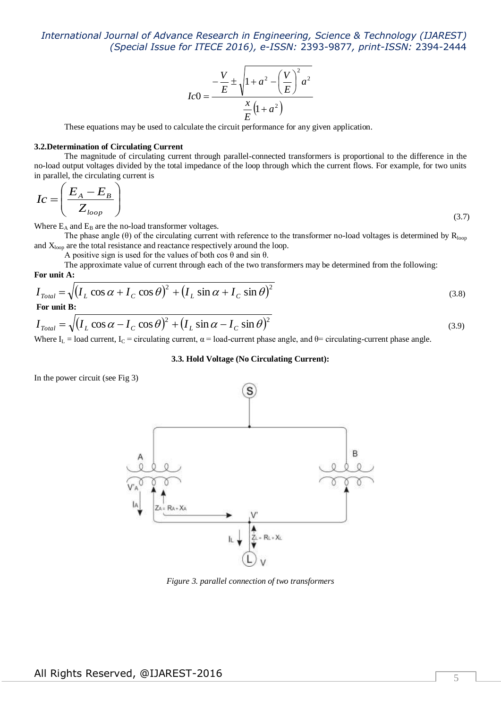$$
I C 0 = \frac{-\frac{V}{E} \pm \sqrt{1 + a^2 - \left(\frac{V}{E}\right)^2 a^2}}{\frac{x}{E} (1 + a^2)}
$$

These equations may be used to calculate the circuit performance for any given application.

### **3.2.Determination of Circulating Current**

The magnitude of circulating current through parallel-connected transformers is proportional to the difference in the no-load output voltages divided by the total impedance of the loop through which the current flows. For example, for two units in parallel, the circulating current is

$$
Ic = \left(\frac{E_A - E_B}{Z_{loop}}\right) \tag{3.7}
$$

Where  $E_A$  and  $E_B$  are the no-load transformer voltages.

The phase angle ( $\theta$ ) of the circulating current with reference to the transformer no-load voltages is determined by  $R_{loop}$ and  $X_{loop}$  are the total resistance and reactance respectively around the loop.

A positive sign is used for the values of both  $\cos \theta$  and  $\sin \theta$ .

The approximate value of current through each of the two transformers may be determined from the following: **For unit A:**

$$
I_{\text{Total}} = \sqrt{(I_L \cos \alpha + I_C \cos \theta)^2 + (I_L \sin \alpha + I_C \sin \theta)^2}
$$
(3.8)

$$
I_{\text{Total}} = \sqrt{(I_L \cos \alpha - I_C \cos \theta)^2 + (I_L \sin \alpha - I_C \sin \theta)^2}
$$
(3.9)

Where I<sub>L</sub> = load current, I<sub>C</sub> = circulating current,  $\alpha$  = load-current phase angle, and  $\theta$  = circulating-current phase angle.

#### **3.3. Hold Voltage (No Circulating Current):**

In the power circuit (see Fig 3)



*Figure 3. parallel connection of two transformers*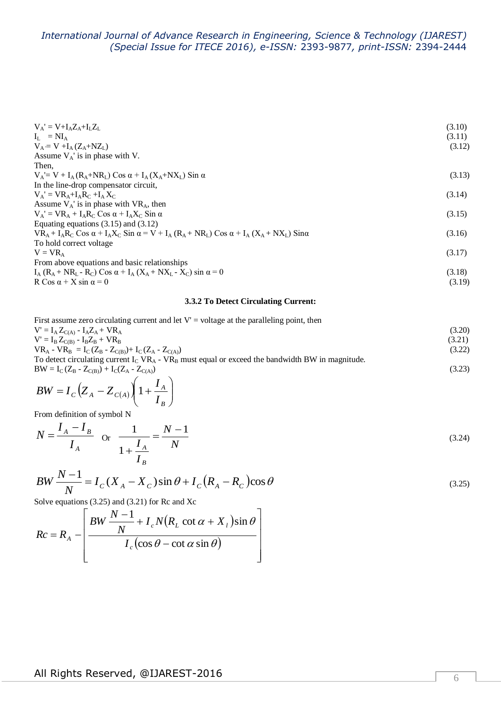| $V_A' = V + I_A Z_A + I_L Z_L$                                                                                                                   | (3.10) |
|--------------------------------------------------------------------------------------------------------------------------------------------------|--------|
| $I_I = NI_A$                                                                                                                                     | (3.11) |
| $V_A = V + I_A (Z_A + NZ_L)$                                                                                                                     | (3.12) |
| Assume $V_A$ is in phase with V.                                                                                                                 |        |
| Then,                                                                                                                                            |        |
| $V_A = V + I_A (R_A + NR_L)$ Cos $\alpha + I_A (X_A + NX_L)$ Sin $\alpha$                                                                        | (3.13) |
| In the line-drop compensator circuit,                                                                                                            |        |
| $V_A' = VR_A+I_AR_C+I_AX_C$                                                                                                                      | (3.14) |
| Assume $V_A$ is in phase with $VR_A$ , then                                                                                                      |        |
| $V_A' = VR_A + I_AR_C \text{Cos } \alpha + I_AX_C \text{Sin } \alpha$                                                                            | (3.15) |
| Equating equations $(3.15)$ and $(3.12)$                                                                                                         |        |
| $VR_A + I_A R_C \text{Cos } \alpha + I_A X_C \text{Sin } \alpha = V + I_A (R_A + NR_I) \text{Cos } \alpha + I_A (X_A + NX_I) \text{Sin } \alpha$ | (3.16) |
| To hold correct voltage                                                                                                                          |        |
| $V = VR_{A}$                                                                                                                                     | (3.17) |
| From above equations and basic relationships                                                                                                     |        |
| $I_A (R_A + NR_L - R_C)$ Cos $\alpha + I_A (X_A + NX_L - X_C)$ sin $\alpha = 0$                                                                  | (3.18) |
| R Cos $\alpha$ + X sin $\alpha$ = 0                                                                                                              | (3.19) |

### **3.3.2 To Detect Circulating Current:**

| First assume zero circulating current and let $V' =$ voltage at the paralleling point, then           |        |
|-------------------------------------------------------------------------------------------------------|--------|
| $V' = I_A Z_{C(A)} - I_A Z_A + V R_A$                                                                 | (3.20) |
| $V' = I_B Z_{C(B)} - I_B Z_B + V R_B$                                                                 | (3.21) |
| $VR_A$ - $VR_B$ = $I_C(Z_B - Z_{C(B)})$ + $I_C(Z_A - Z_{C(A)})$                                       | (3.22) |
| To detect circulating current $I_C V R_A - V R_B$ must equal or exceed the bandwidth BW in magnitude. |        |
| $BW = I_C (Z_B - Z_{C(B)}) + I_C (Z_A - Z_{C(A)})$                                                    | (3.23) |

$$
BW = I_C \Big(Z_A - Z_{C(A)} \Bigg( 1 + \frac{I_A}{I_B} \Bigg)
$$

From definition of symbol N

$$
N = \frac{I_A - I_B}{I_A} \quad \text{or} \quad \frac{1}{1 + \frac{I_A}{I_B}} = \frac{N - 1}{N} \tag{3.24}
$$

$$
BW\frac{N-1}{N} = I_C(X_A - X_C)\sin\theta + I_C(R_A - R_C)\cos\theta
$$

Solve equations (3.25) and (3.21) for Rc and Xc

$$
Rc = R_A - \left[\frac{BW \frac{N-1}{N} + I_c N(R_L \cot \alpha + X_l) \sin \theta}{I_c (\cos \theta - \cot \alpha \sin \theta)}\right]
$$

(3.25)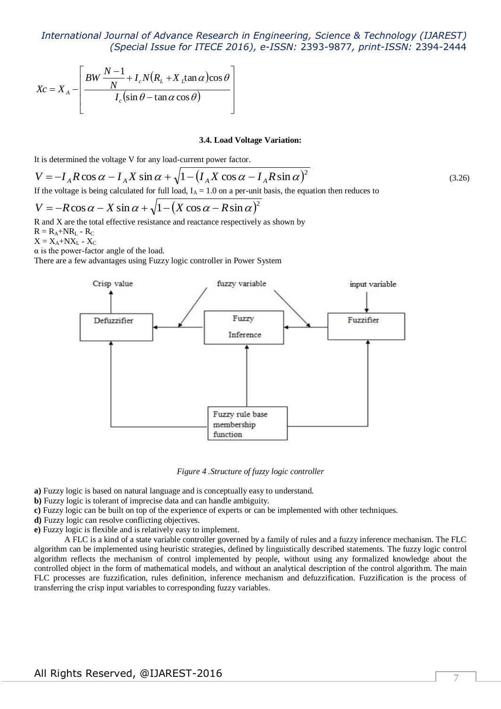$$
Xc = X_A - \left[ \frac{BW \frac{N-1}{N} + I_c N (R_L + X_L \tan \alpha) \cos \theta}{I_c (\sin \theta - \tan \alpha \cos \theta)} \right]
$$

#### **3.4. Load Voltage Variation:**

It is determined the voltage V for any load-current power factor.

$$
V = -I_A R \cos \alpha - I_A X \sin \alpha + \sqrt{1 - (I_A X \cos \alpha - I_A R \sin \alpha)^2}
$$
\n(3.26)

If the voltage is being calculated for full load,  $I_A = 1.0$  on a per-unit basis, the equation then reduces to

$$
V = -R\cos\alpha - X\sin\alpha + \sqrt{1 - (X\cos\alpha - R\sin\alpha)^2}
$$

R and X are the total effective resistance and reactance respectively as shown by  $R = R_+ + NR_+ - R_C$ 

$$
\mathbf{K} = \mathbf{K}_{\mathbf{A}} + \mathbf{N} \mathbf{K}_{\mathbf{L}} - \mathbf{K}_{\mathbf{C}}
$$

 $X = X_A + N X_L - X_C$ 

 $\alpha$  is the power-factor angle of the load.

There are a few advantages using Fuzzy logic controller in Power System



*Figure 4 .Structure of fuzzy logic controller*

**a)** Fuzzy logic is based on natural language and is conceptually easy to understand.

**b)** Fuzzy logic is tolerant of imprecise data and can handle ambiguity.

**c)** Fuzzy logic can be built on top of the experience of experts or can be implemented with other techniques.

**d)** Fuzzy logic can resolve conflicting objectives.

**e)** Fuzzy logic is flexible and is relatively easy to implement.

A FLC is a kind of a state variable controller governed by a family of rules and a fuzzy inference mechanism. The FLC algorithm can be implemented using heuristic strategies, defined by linguistically described statements. The fuzzy logic control algorithm reflects the mechanism of control implemented by people, without using any formalized knowledge about the controlled object in the form of mathematical models, and without an analytical description of the control algorithm. The main FLC processes are fuzzification, rules definition, inference mechanism and defuzzification. Fuzzification is the process of transferring the crisp input variables to corresponding fuzzy variables.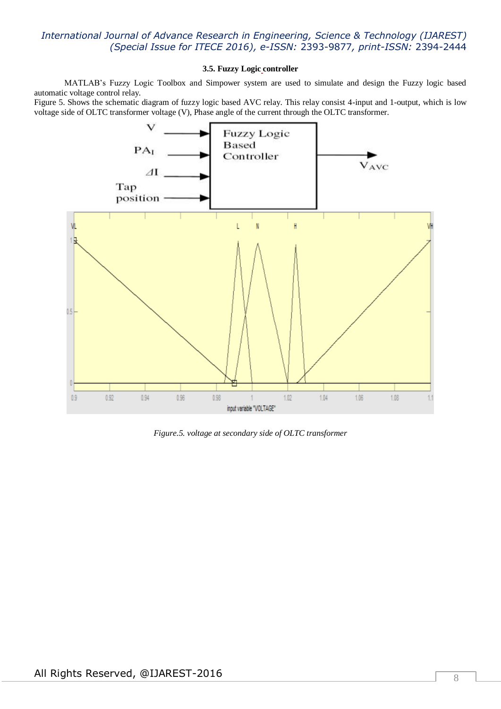### **3.5. Fuzzy Logic controller**

MATLAB's Fuzzy Logic Toolbox and Simpower system are used to simulate and design the Fuzzy logic based automatic voltage control relay.

Figure 5. Shows the schematic diagram of fuzzy logic based AVC relay. This relay consist 4-input and 1-output, which is low voltage side of OLTC transformer voltage (V), Phase angle of the current through the OLTC transformer.



*Figure.5. voltage at secondary side of OLTC transformer*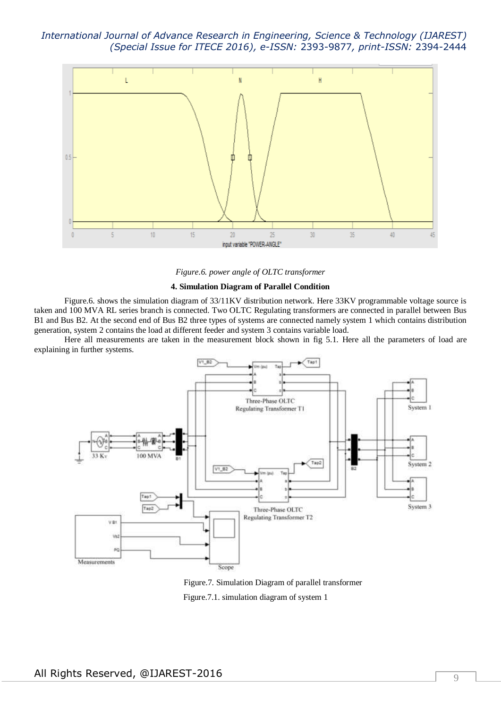

*Figure.6. power angle of OLTC transformer*

#### **4. Simulation Diagram of Parallel Condition**

Figure.6. shows the simulation diagram of 33/11KV distribution network. Here 33KV programmable voltage source is taken and 100 MVA RL series branch is connected. Two OLTC Regulating transformers are connected in parallel between Bus B1 and Bus B2. At the second end of Bus B2 three types of systems are connected namely system 1 which contains distribution generation, system 2 contains the load at different feeder and system 3 contains variable load.

Here all measurements are taken in the measurement block shown in fig 5.1. Here all the parameters of load are explaining in further systems.



 Figure.7. Simulation Diagram of parallel transformer Figure.7.1. simulation diagram of system 1